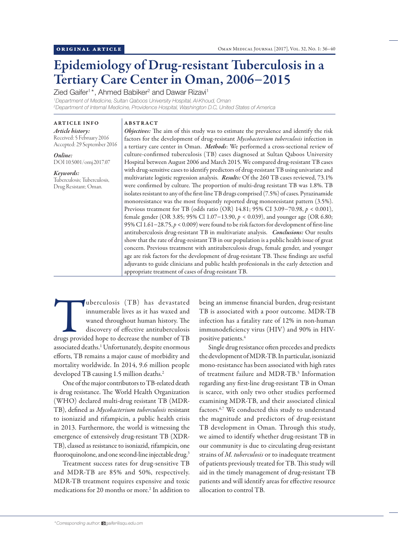# Epidemiology of Drug-resistant Tuberculosis in a Tertiary Care Center in Oman, 2006−2015

Zied Gaifer<sup>1\*</sup>, Ahmed Babiker<sup>2</sup> and Dawar Rizavi<sup>1</sup>

*1 Department of Medicine, Sultan Qaboos University Hospital, Al-Khoud, Oman 2 Department of Internal Medicine, Providence Hospital, Washington D.C, United States of America*

ARTICLE INFO *Article history:* Received: 5 February 2016 Accepted: 29 September 2016

*Online:* DOI 10.5001/omj.2017.07

*Keywords:*  Tuberculosis; Tuberculosis, Drug Resistant; Oman.

ABSTRACT

*Objectives:* The aim of this study was to estimate the prevalence and identify the risk factors for the development of drug-resistant *Mycobacterium tuberculosis* infection in a tertiary care center in Oman. *Methods*: We performed a cross-sectional review of culture-confirmed tuberculosis (TB) cases diagnosed at Sultan Qaboos University Hospital between August 2006 and March 2015. We compared drug-resistant TB cases with drug-sensitive cases to identify predictors of drug-resistant TB using univariate and multivariate logistic regression analysis. *Results:* Of the 260 TB cases reviewed, 73.1% were confirmed by culture. The proportion of multi-drug resistant TB was 1.8%. TB isolates resistant to any of the first-line TB drugs comprised (7.5%) of cases. Pyrazinamide monoresistance was the most frequently reported drug monoresistant pattern (3.5%). Previous treatment for TB (odds ratio (OR) 14.81; 95% CI 3.09−70.98, *p* < 0.001), female gender (OR 3.85; 95% Cl 1.07−13.90, *p* < 0.039), and younger age (OR 6.80; 95% Cl 1.61−28.75, *p* < 0.009) were found to be risk factors for development of first-line antituberculosis drug-resistant TB in multivariate analysis. *Conclusions:* Our results show that the rate of drug-resistant TB in our population is a public health issue of great concern. Previous treatment with antituberculosis drugs, female gender, and younger age are risk factors for the development of drug-resistant TB. These findings are useful adjuvants to guide clinicians and public health professionals in the early detection and appropriate treatment of cases of drug-resistant TB.

Underculosis (TB) has devastated<br>
innumerable lives as it has waxed and<br>
waned throughout human history. The<br>
discovery of effective antituberculosis<br>
drugs provided hope to decrease the number of TB innumerable lives as it has waxed and waned throughout human history. The discovery of effective antituberculosis associated deaths.<sup>1</sup> Unfortunately, despite enormous efforts, TB remains a major cause of morbidity and mortality worldwide. In 2014, 9.6 million people developed TB causing 1.5 million deaths.<sup>2</sup>

One of the major contributors to TB-related death is drug resistance. The World Health Organization (WHO) declared multi-drug resistant TB (MDR-TB), defined as *Mycobacterium tuberculosis* resistant to isoniazid and rifampicin, a public health crisis in 2013. Furthermore, the world is witnessing the emergence of extensively drug-resistant TB (XDR-TB), classed as resistance to isoniazid, rifampicin, one fluoroquinolone, and one second-line injectable drug.<sup>3</sup>

Treatment success rates for drug-sensitive TB and MDR-TB are 85% and 50%, respectively. MDR-TB treatment requires expensive and toxic medications for 20 months or more.<sup>2</sup> In addition to being an immense financial burden, drug-resistant TB is associated with a poor outcome. MDR-TB infection has a fatality rate of 12% in non-human immunodeficiency virus (HIV) and 90% in HIVpositive patients.4

Single drug resistance often precedes and predicts the development of MDR-TB. In particular, isoniazid mono-resistance has been associated with high rates of treatment failure and MDR-TB.<sup>5</sup> Information regarding any first-line drug-resistant TB in Oman is scarce, with only two other studies performed examining MDR-TB, and their associated clinical factors.<sup>6,7</sup> We conducted this study to understand the magnitude and predictors of drug-resistant TB development in Oman. Through this study, we aimed to identify whether drug-resistant TB in our community is due to circulating drug-resistant strains of *M. tuberculosis* or to inadequate treatment of patients previously treated for TB. This study will aid in the timely management of drug-resistant TB patients and will identify areas for effective resource allocation to control TB.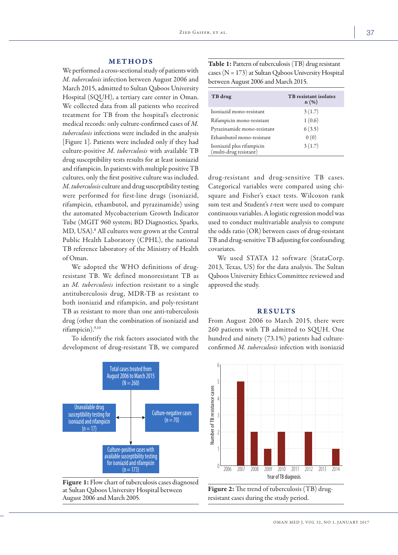## METHODS

We performed a cross-sectional study of patients with *M. tuberculosis* infection between August 2006 and March 2015, admitted to Sultan Qaboos University Hospital (SQUH), a tertiary care center in Oman. We collected data from all patients who received treatment for TB from the hospital's electronic medical records: only culture-confirmed cases of *M. tuberculosis* infections were included in the analysis [Figure 1]. Patients were included only if they had culture-positive *M. tuberculosis* with available TB drug susceptibility tests results for at least isoniazid and rifampicin. In patients with multiple positive TB cultures, only the first positive culture was included. *M. tuberculosis* culture and drug susceptibility testing were performed for first-line drugs (isoniazid, rifampicin, ethambutol, and pyrazinamide) using the automated Mycobacterium Growth Indicator Tube (MGIT 960 system; BD Diagnostics, Sparks, MD, USA).8 All cultures were grown at the Central Public Health Laboratory (CPHL), the national TB reference laboratory of the Ministry of Health of Oman.

We adopted the WHO definitions of drugresistant TB. We defined monoresistant TB as an *M. tuberculosis* infection resistant to a single antituberculosis drug, MDR-TB as resistant to both isoniazid and rifampicin, and poly-resistant TB as resistant to more than one anti-tuberculosis drug (other than the combination of isoniazid and rifampicin).9,10

To identify the risk factors associated with the development of drug-resistant TB, we compared



Figure 1: Flow chart of tuberculosis cases diagnosed at Sultan Qaboos University Hospital between August 2006 and March 2005.

Table 1: Pattern of tuberculosis (TB) drug resistant cases (N = 173) at Sultan Qaboos University Hospital between August 2006 and March 2015.

| TB drug                                             | <b>TB</b> resistant isolates<br>$n(\%)$ |
|-----------------------------------------------------|-----------------------------------------|
| Isoniazid mono-resistant                            | 3(1.7)                                  |
| Rifampicin mono-resistant                           | 1(0.6)                                  |
| Pyrazinamide mono-resistant                         | 6(3.5)                                  |
| Ethambutol mono-resistant                           | 0(0)                                    |
| Isoniazid plus rifampicin<br>(multi-drug resistant) | 3(1.7)                                  |

drug-resistant and drug-sensitive TB cases. Categorical variables were compared using chisquare and Fisher's exact tests. Wilcoxon rank sum test and Student's *t*-test were used to compare continuous variables. A logistic regression model was used to conduct multivariable analysis to compute the odds ratio (OR) between cases of drug-resistant TB and drug-sensitive TB adjusting for confounding covariates.

We used STATA 12 software (StataCorp. 2013, Texas, US) for the data analysis. The Sultan Qaboos University Ethics Committee reviewed and approved the study.

## RESULTS

From August 2006 to March 2015, there were 260 patients with TB admitted to SQUH. One hundred and ninety (73.1%) patients had cultureconfirmed *M. tuberculosis* infection with isoniazid



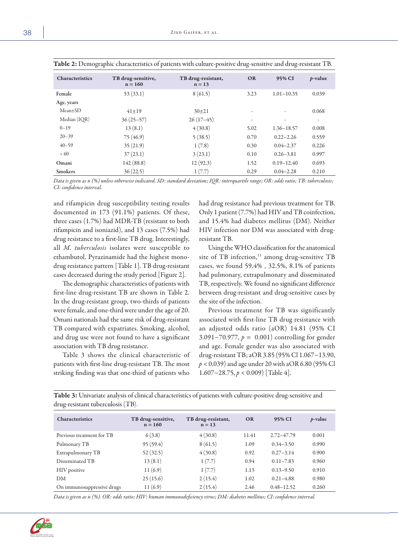| <b>Characteristics</b> | TB drug-sensitive,<br>$n = 160$ | TB drug-resistant,<br>$n = 13$ | <b>OR</b> | 95% CI         | <i>p</i> -value |
|------------------------|---------------------------------|--------------------------------|-----------|----------------|-----------------|
| Female                 | 53(33.1)                        | 8(61.5)                        | 3.23      | $1.01 - 10.35$ | 0.039           |
| Age, years             |                                 |                                |           |                |                 |
| $Mean+SD$              | $41 + 19$                       | $30 + 21$                      | ۰         | ۰              | 0.068           |
| Median (IQR)           | $36(25-57)$                     | $26(17-45)$                    | ۰         | ٠              | ٠               |
| $0 - 19$               | 13(8.1)                         | 4(30.8)                        | 5.02      | $1.36 - 18.57$ | 0.008           |
| $20 - 39$              | 75 (46.9)                       | 5(38.5)                        | 0.70      | $0.22 - 2.26$  | 0.559           |
| $40 - 59$              | 35(21.9)                        | 1(7.8)                         | 0.30      | $0.04 - 2.37$  | 0.226           |
| > 60                   | 37(23.1)                        | 3(23.1)                        | 0.10      | $0.26 - 3.81$  | 0.997           |
| Omani                  | 142(88.8)                       | 12(92.3)                       | 1.52      | $0.19 - 12.40$ | 0.693           |
| <b>Smokers</b>         | 36(22.5)                        | 1(7.7)                         | 0.29      | $0.04 - 2.28$  | 0.210           |

| Table 2: Demographic characteristics of patients with culture-positive drug-sensitive and drug-resistant TB. |  |  |
|--------------------------------------------------------------------------------------------------------------|--|--|
|--------------------------------------------------------------------------------------------------------------|--|--|

*Data is given as n (%) unless otherwise indicated. SD: standard deviation; IQR: interquartile range; OR: odds ratio; TB: tuberculosis; CI: confidence interval.*

and rifampicin drug susceptibility testing results documented in 173 (91.1%) patients. Of these, three cases (1.7%) had MDR-TB (resistant to both rifampicin and isoniazid), and 13 cases (7.5%) had drug resistance to a first-line TB drug. Interestingly, all *M. tuberculosis* isolates were susceptible to ethambutol. Pyrazinamide had the highest monodrug resistance pattern [Table 1]. TB drug-resistant cases decreased during the study period [Figure 2].

The demographic characteristics of patients with first-line drug-resistant TB are shown in Table 2. In the drug-resistant group, two-thirds of patients were female, and one-third were under the age of 20. Omani nationals had the same risk of drug-resistant TB compared with expatriates. Smoking, alcohol, and drug use were not found to have a significant association with TB drug resistance.

Table 3 shows the clinical characteristic of patients with first-line drug-resistant TB. The most striking finding was that one-third of patients who

had drug resistance had previous treatment for TB. Only 1 patient (7.7%) had HIV and TB coinfection, and 15.4% had diabetes mellitus (DM). Neither HIV infection nor DM was associated with drugresistant TB.

Using the WHO classification for the anatomical site of TB infection, $11$  among drug-sensitive TB cases, we found 59.4% , 32.5%, 8.1% of patients had pulmonary, extrapulmonary and disseminated TB, respectively. We found no significant difference between drug-resistant and drug-sensitive cases by the site of the infection.

Previous treatment for TB was significantly associated with first-line TB drug resistance with an adjusted odds ratio (aOR) 14.81 (95% CI 3.091−70.977, *p =* 0.001) controlling for gender and age. Female gender was also associated with drug-resistant TB; aOR 3.85 (95% Cl 1.067−13.90, *p* < 0.039) and age under 20 with aOR 6.80 (95% Cl 1.607−28.75, *p* < 0.009) [Table 4].

Table 3: Univariate analysis of clinical characteristics of patients with culture-positive drug-sensitive and drug-resistant tuberculosis (TB).

| <b>Characteristics</b>     | TB drug-sensitive,<br>$n = 160$ | TB drug-resistant,<br>$n = 13$ | <b>OR</b> | 95% CI         | $p$ -value |
|----------------------------|---------------------------------|--------------------------------|-----------|----------------|------------|
| Previous treatment for TB  | 6(3.8)                          | 4(30.8)                        | 11.41     | $2.72 - 47.79$ | 0.001      |
| Pulmonary TB               | 95(59.4)                        | 8(61.5)                        | 1.09      | $0.34 - 3.50$  | 0.990      |
| Extrapulmonary TB          | 52(32.5)                        | 4(30.8)                        | 0.92      | $0.27 - 3.14$  | 0.900      |
| Disseminated TB            | 13(8.1)                         | 1(7.7)                         | 0.94      | $0.11 - 7.83$  | 0.960      |
| HIV positive               | 11(6.9)                         | 1(7.7)                         | 1.13      | $0.13 - 9.50$  | 0.910      |
| DM                         | 25(15.6)                        | 2(15.4)                        | 1.02      | $0.21 - 4.88$  | 0.980      |
| On immunosuppressive drugs | 11(6.9)                         | 2(15.4)                        | 2.46      | $0.48 - 12.52$ | 0.260      |

*Data is given as n (%). OR: odds ratio; HIV: human immunodeficiency virus; DM: diabetes mellitus; CI: confidence interval.*

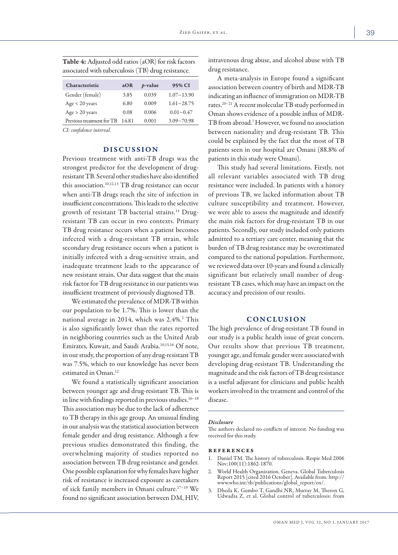| Characteristic            | aOR  | <i>p</i> -value | 95% CI         |
|---------------------------|------|-----------------|----------------|
| Gender (female)           | 3.85 | 0.039           | $1.07 - 13.90$ |
| Age < 20 years            | 6.80 | 0.009           | $1.61 - 28.75$ |
| Age > 20 years            | 0.08 | 0.006           | $0.01 - 0.47$  |
| Previous treatment for TB | 1481 | 0.001           | $3.09 - 70.98$ |

Table 4: Adjusted odd ratios (aOR) for risk factors associated with tuberculosis (TB) drug resistance.

*CI: confidence interval.*

### DISCUSSION

Previous treatment with anti-TB drugs was the strongest predictor for the development of drugresistant TB. Several other studies have also identified this association.<sup>10,12,13</sup> TB drug resistance can occur when anti-TB drugs reach the site of infection in insufficient concentrations. This leads to the selective growth of resistant TB bacterial strains.<sup>14</sup> Drugresistant TB can occur in two contexts. Primary TB drug resistance occurs when a patient becomes infected with a drug-resistant TB strain, while secondary drug resistance occurs when a patient is initially infected with a drug-sensitive strain, and inadequate treatment leads to the appearance of new resistant strain. Our data suggest that the main risk factor for TB drug resistance in our patients was insufficient treatment of previously diagnosed TB.

We estimated the prevalence of MDR-TB within our population to be 1.7%. This is lower than the national average in 2014, which was 2.4%.<sup>2</sup> This is also significantly lower than the rates reported in neighboring countries such as the United Arab Emirates, Kuwait, and Saudi Arabia.10,15,16 Of note, in our study, the proportion of any drug-resistant TB was 7.5%, which to our knowledge has never been estimated in Oman.12

We found a statistically significant association between younger age and drug-resistant TB. This is in line with findings reported in previous studies.16−18 This association may be due to the lack of adherence to TB therapy in this age group. An unusual finding in our analysis was the statistical association between female gender and drug resistance. Although a few previous studies demonstrated this finding, the overwhelming majority of studies reported no association between TB drug resistance and gender. One possible explanation for why females have higher risk of resistance is increased exposure as caretakers of sick family members in Omani culture.17−19 We found no significant association between DM, HIV,

intravenous drug abuse, and alcohol abuse with TB drug resistance.

A meta-analysis in Europe found a significant association between country of birth and MDR-TB indicating an influence of immigration on MDR-TB rates.20−21A recent molecular TB study performed in Oman shows evidence of a possible influx of MDR-TB from abroad.7 However, we found no association between nationality and drug-resistant TB. This could be explained by the fact that the most of TB patients seen in our hospital are Omani (88.8% of patients in this study were Omani).

This study had several limitations. Firstly, not all relevant variables associated with TB drug resistance were included. In patients with a history of previous TB, we lacked information about TB culture susceptibility and treatment. However, we were able to assess the magnitude and identify the main risk factors for drug-resistant TB in our patients. Secondly, our study included only patients admitted to a tertiary care center, meaning that the burden of TB drug resistance may be overestimated compared to the national population. Furthermore, we reviewed data over 10-years and found a clinically significant but relatively small number of drugresistant TB cases, which may have an impact on the accuracy and precision of our results.

### CONCLUSION

The high prevalence of drug-resistant TB found in our study is a public health issue of great concern. Our results show that previous TB treatment, younger age, and female gender were associated with developing drug-resistant TB. Understanding the magnitude and the risk factors of TB drug resistance is a useful adjuvant for clinicians and public health workers involved in the treatment and control of the disease.

#### *Disclosure*

The authors declared no conflicts of interest. No funding was received for this study.

#### references

- 1. Daniel TM. The history of tuberculosis. Respir Med 2006 Nov;100(11):1862-1870.
- 2. World Health Organization. Geneva. Global Tuberculosis Report 2015 [cited 2016 October]. Available from: http:// www.who.int/tb/publications/global\_report/en/.
- 3. Dheda K, Gumbo T, Gandhi NR, Murray M, Theron G, Udwadia Z, et al. Global control of tuberculosis: from